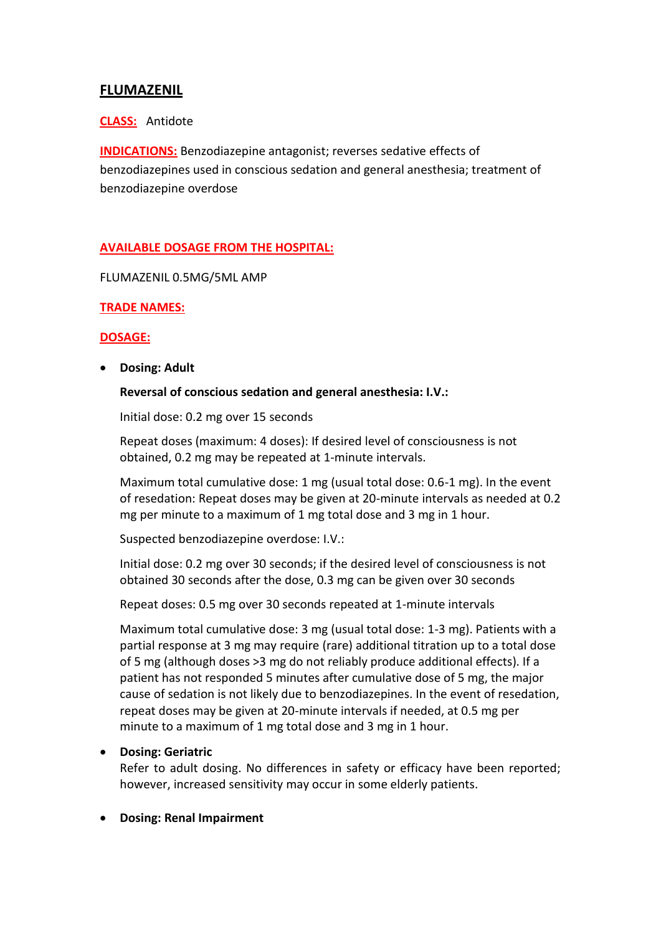# **FLUMAZENIL**

## **CLASS:** Antidote

**INDICATIONS:** Benzodiazepine antagonist; reverses sedative effects of benzodiazepines used in conscious sedation and general anesthesia; treatment of benzodiazepine overdose

## **AVAILABLE DOSAGE FROM THE HOSPITAL:**

FLUMAZENIL 0.5MG/5ML AMP

#### **TRADE NAMES:**

#### **DOSAGE:**

**Dosing: Adult**

#### **Reversal of conscious sedation and general anesthesia: I.V.:**

Initial dose: 0.2 mg over 15 seconds

Repeat doses (maximum: 4 doses): If desired level of consciousness is not obtained, 0.2 mg may be repeated at 1-minute intervals.

Maximum total cumulative dose: 1 mg (usual total dose: 0.6-1 mg). In the event of resedation: Repeat doses may be given at 20-minute intervals as needed at 0.2 mg per minute to a maximum of 1 mg total dose and 3 mg in 1 hour.

Suspected benzodiazepine overdose: I.V.:

Initial dose: 0.2 mg over 30 seconds; if the desired level of consciousness is not obtained 30 seconds after the dose, 0.3 mg can be given over 30 seconds

Repeat doses: 0.5 mg over 30 seconds repeated at 1-minute intervals

Maximum total cumulative dose: 3 mg (usual total dose: 1-3 mg). Patients with a partial response at 3 mg may require (rare) additional titration up to a total dose of 5 mg (although doses >3 mg do not reliably produce additional effects). If a patient has not responded 5 minutes after cumulative dose of 5 mg, the major cause of sedation is not likely due to benzodiazepines. In the event of resedation, repeat doses may be given at 20-minute intervals if needed, at 0.5 mg per minute to a maximum of 1 mg total dose and 3 mg in 1 hour.

## **Dosing: Geriatric**

Refer to adult dosing. No differences in safety or efficacy have been reported; however, increased sensitivity may occur in some elderly patients.

**Dosing: Renal Impairment**